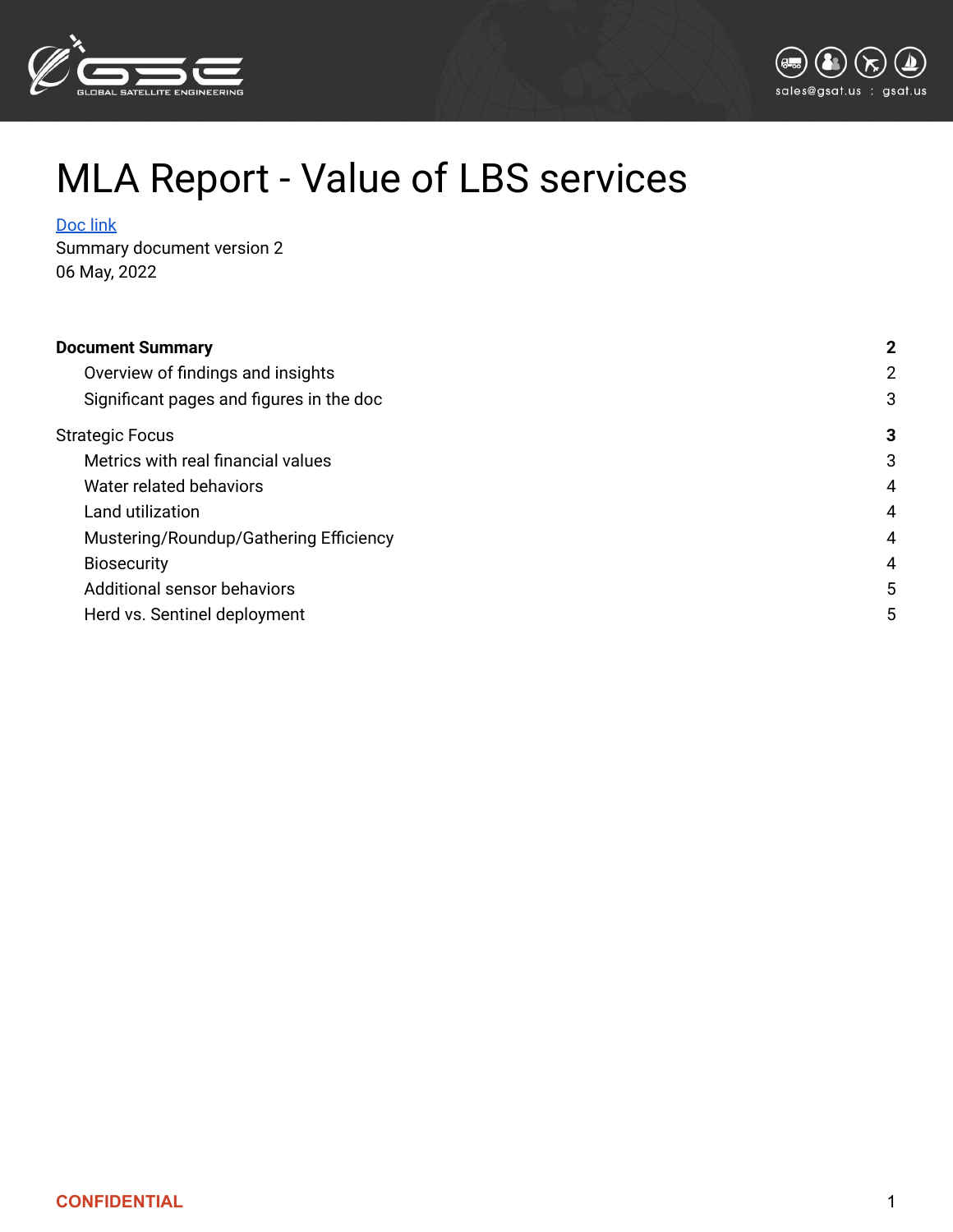



# MLA Report - Value of LBS services

#### [Doc](https://www.mla.com.au/contentassets/e306dd5a0237429787f96d3d09170526/p.psh.0835_final_report.pdf) link

Summary document version 2 06 May, 2022

| <b>Document Summary</b>                  |   |
|------------------------------------------|---|
| Overview of findings and insights        | 2 |
| Significant pages and figures in the doc | 3 |
| <b>Strategic Focus</b>                   | 3 |
| Metrics with real financial values       | 3 |
| Water related behaviors                  | 4 |
| Land utilization                         | 4 |
| Mustering/Roundup/Gathering Efficiency   | 4 |
| <b>Biosecurity</b>                       | 4 |
| Additional sensor behaviors              | 5 |
| Herd vs. Sentinel deployment             | 5 |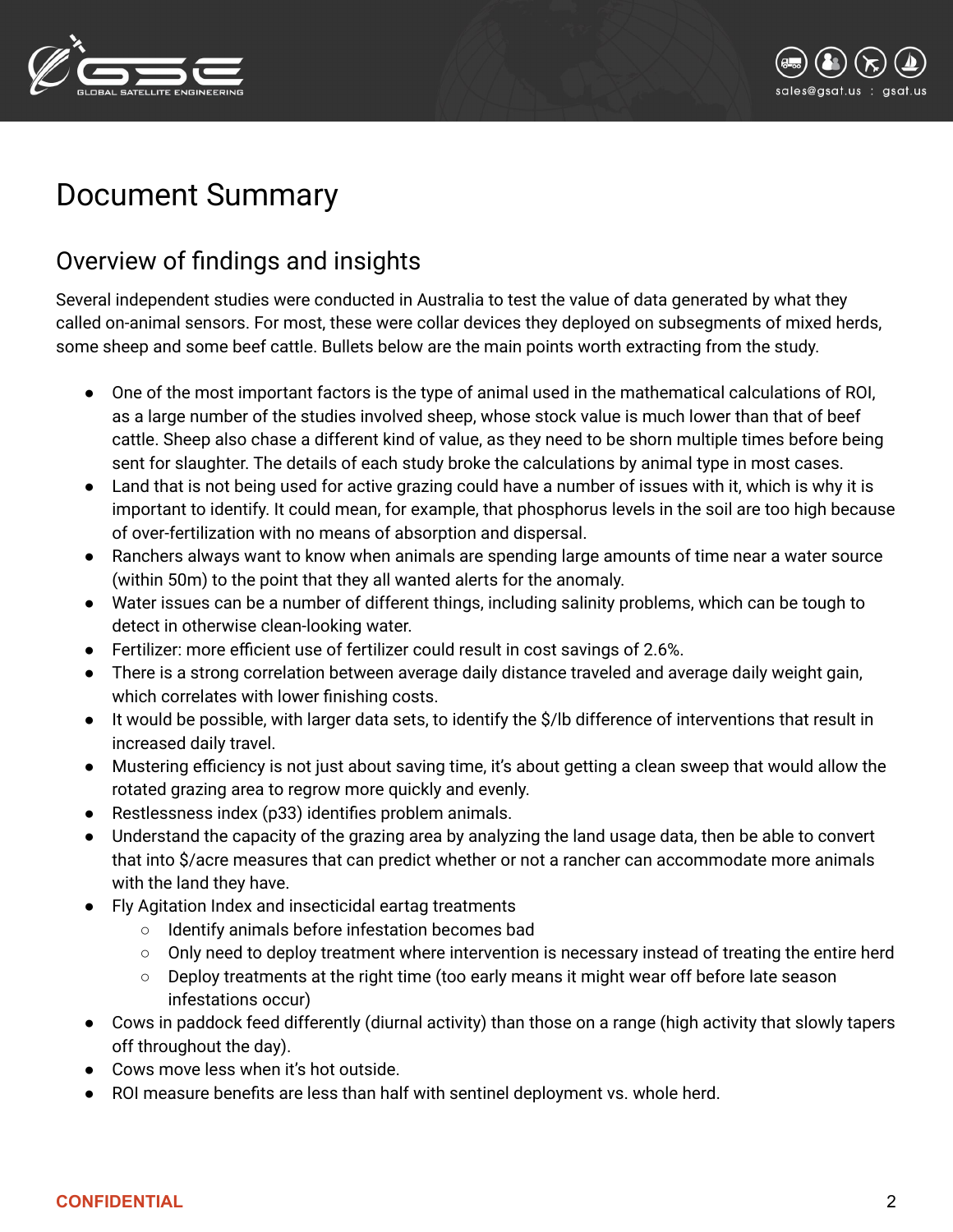



## <span id="page-1-0"></span>Document Summary

### <span id="page-1-1"></span>Overview of findings and insights

Several independent studies were conducted in Australia to test the value of data generated by what they called on-animal sensors. For most, these were collar devices they deployed on subsegments of mixed herds, some sheep and some beef cattle. Bullets below are the main points worth extracting from the study.

- One of the most important factors is the type of animal used in the mathematical calculations of ROI, as a large number of the studies involved sheep, whose stock value is much lower than that of beef cattle. Sheep also chase a different kind of value, as they need to be shorn multiple times before being sent for slaughter. The details of each study broke the calculations by animal type in most cases.
- Land that is not being used for active grazing could have a number of issues with it, which is why it is important to identify. It could mean, for example, that phosphorus levels in the soil are too high because of over-fertilization with no means of absorption and dispersal.
- Ranchers always want to know when animals are spending large amounts of time near a water source (within 50m) to the point that they all wanted alerts for the anomaly.
- Water issues can be a number of different things, including salinity problems, which can be tough to detect in otherwise clean-looking water.
- Fertilizer: more efficient use of fertilizer could result in cost savings of 2.6%.
- There is a strong correlation between average daily distance traveled and average daily weight gain, which correlates with lower finishing costs.
- It would be possible, with larger data sets, to identify the \$/lb difference of interventions that result in increased daily travel.
- Mustering efficiency is not just about saving time, it's about getting a clean sweep that would allow the rotated grazing area to regrow more quickly and evenly.
- Restlessness index (p33) identifies problem animals.
- Understand the capacity of the grazing area by analyzing the land usage data, then be able to convert that into \$/acre measures that can predict whether or not a rancher can accommodate more animals with the land they have.
- Fly Agitation Index and insecticidal eartag treatments
	- Identify animals before infestation becomes bad
	- Only need to deploy treatment where intervention is necessary instead of treating the entire herd
	- $\circ$  Deploy treatments at the right time (too early means it might wear off before late season infestations occur)
- Cows in paddock feed differently (diurnal activity) than those on a range (high activity that slowly tapers off throughout the day).
- Cows move less when it's hot outside.
- ROI measure benefits are less than half with sentinel deployment vs. whole herd.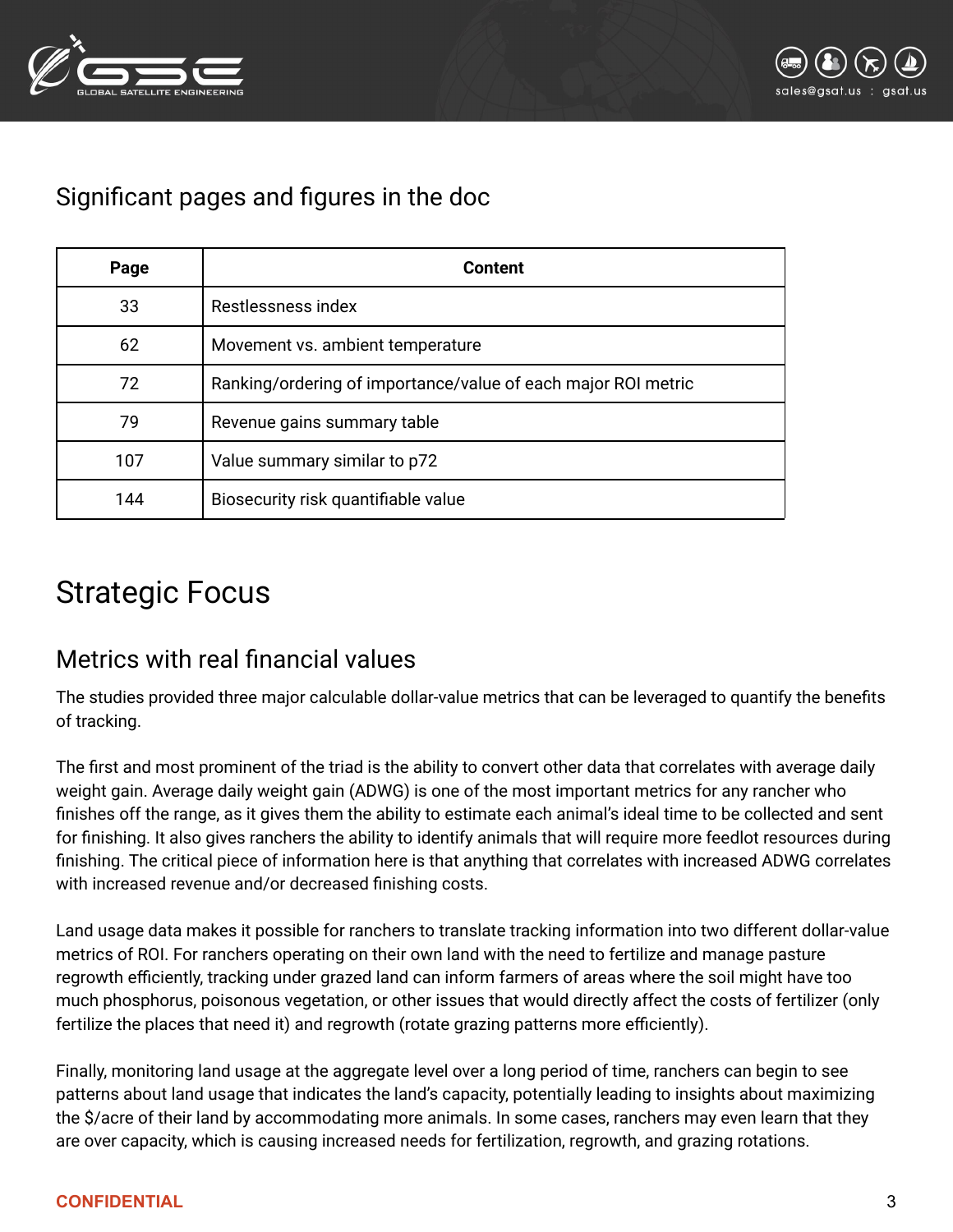



### <span id="page-2-0"></span>Significant pages and figures in the doc

| Page | <b>Content</b>                                                |
|------|---------------------------------------------------------------|
| 33   | Restlessness index                                            |
| 62   | Movement vs. ambient temperature                              |
| 72   | Ranking/ordering of importance/value of each major ROI metric |
| 79   | Revenue gains summary table                                   |
| 107  | Value summary similar to p72                                  |
| 144  | Biosecurity risk quantifiable value                           |

## <span id="page-2-1"></span>Strategic Focus

#### <span id="page-2-2"></span>Metrics with real financial values

The studies provided three major calculable dollar-value metrics that can be leveraged to quantify the benefits of tracking.

The first and most prominent of the triad is the ability to convert other data that correlates with average daily weight gain. Average daily weight gain (ADWG) is one of the most important metrics for any rancher who finishes off the range, as it gives them the ability to estimate each animal's ideal time to be collected and sent for finishing. It also gives ranchers the ability to identify animals that will require more feedlot resources during finishing. The critical piece of information here is that anything that correlates with increased ADWG correlates with increased revenue and/or decreased finishing costs.

Land usage data makes it possible for ranchers to translate tracking information into two different dollar-value metrics of ROI. For ranchers operating on their own land with the need to fertilize and manage pasture regrowth efficiently, tracking under grazed land can inform farmers of areas where the soil might have too much phosphorus, poisonous vegetation, or other issues that would directly affect the costs of fertilizer (only fertilize the places that need it) and regrowth (rotate grazing patterns more efficiently).

Finally, monitoring land usage at the aggregate level over a long period of time, ranchers can begin to see patterns about land usage that indicates the land's capacity, potentially leading to insights about maximizing the \$/acre of their land by accommodating more animals. In some cases, ranchers may even learn that they are over capacity, which is causing increased needs for fertilization, regrowth, and grazing rotations.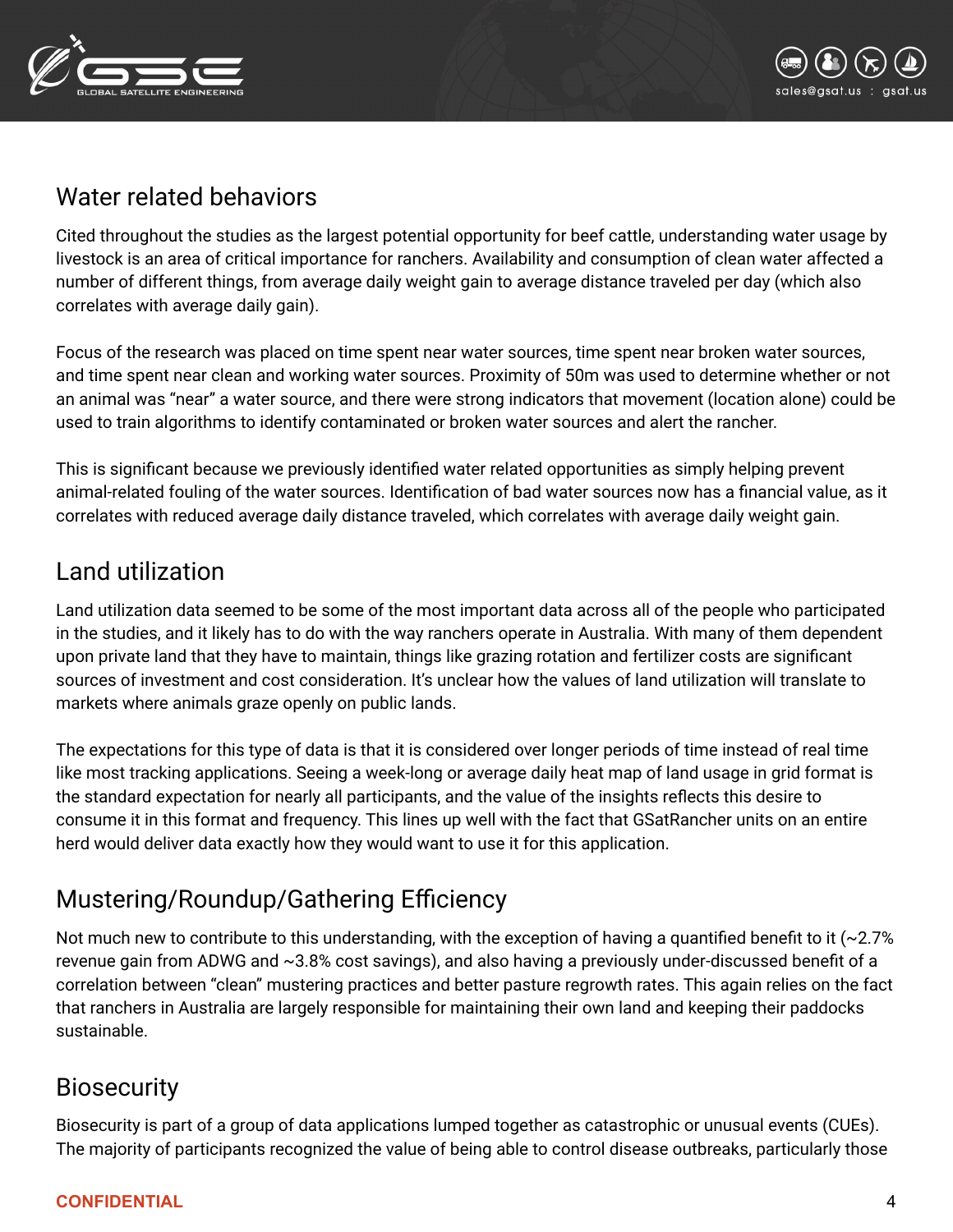



#### <span id="page-3-0"></span>Water related behaviors

Cited throughout the studies as the largest potential opportunity for beef cattle, understanding water usage by livestock is an area of critical importance for ranchers. Availability and consumption of clean water affected a number of different things, from average daily weight gain to average distance traveled per day (which also correlates with average daily gain).

Focus of the research was placed on time spent near water sources, time spent near broken water sources, and time spent near clean and working water sources. Proximity of 50m was used to determine whether or not an animal was "near" a water source, and there were strong indicators that movement (location alone) could be used to train algorithms to identify contaminated or broken water sources and alert the rancher.

This is significant because we previously identified water related opportunities as simply helping prevent animal-related fouling of the water sources. Identification of bad water sources now has a financial value, as it correlates with reduced average daily distance traveled, which correlates with average daily weight gain.

#### <span id="page-3-1"></span>Land utilization

Land utilization data seemed to be some of the most important data across all of the people who participated in the studies, and it likely has to do with the way ranchers operate in Australia. With many of them dependent upon private land that they have to maintain, things like grazing rotation and fertilizer costs are significant sources of investment and cost consideration. It's unclear how the values of land utilization will translate to markets where animals graze openly on public lands.

The expectations for this type of data is that it is considered over longer periods of time instead of real time like most tracking applications. Seeing a week-long or average daily heat map of land usage in grid format is the standard expectation for nearly all participants, and the value of the insights reflects this desire to consume it in this format and frequency. This lines up well with the fact that GSatRancher units on an entire herd would deliver data exactly how they would want to use it for this application.

## <span id="page-3-2"></span>Mustering/Roundup/Gathering Efficiency

Not much new to contribute to this understanding, with the exception of having a quantified benefit to it  $(\sim 2.7\%)$ revenue gain from ADWG and ~3.8% cost savings), and also having a previously under-discussed benefit of a correlation between "clean" mustering practices and better pasture regrowth rates. This again relies on the fact that ranchers in Australia are largely responsible for maintaining their own land and keeping their paddocks sustainable.

#### <span id="page-3-3"></span>**Biosecurity**

Biosecurity is part of a group of data applications lumped together as catastrophic or unusual events (CUEs). The majority of participants recognized the value of being able to control disease outbreaks, particularly those